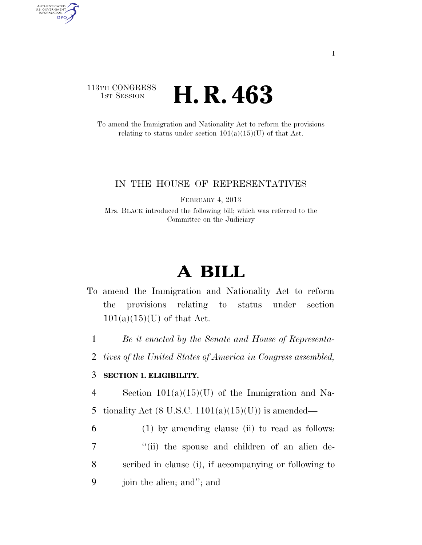# 113TH CONGRESS **1st Session H. R. 463**

AUTHENTICATED<br>U.S. GOVERNMENT<br>INFORMATION GPO

> To amend the Immigration and Nationality Act to reform the provisions relating to status under section  $101(a)(15)(U)$  of that Act.

### IN THE HOUSE OF REPRESENTATIVES

FEBRUARY 4, 2013

Mrs. BLACK introduced the following bill; which was referred to the Committee on the Judiciary

# **A BILL**

To amend the Immigration and Nationality Act to reform the provisions relating to status under section  $101(a)(15)(U)$  of that Act.

1 *Be it enacted by the Senate and House of Representa-*

2 *tives of the United States of America in Congress assembled,* 

## 3 **SECTION 1. ELIGIBILITY.**

4 Section 101(a)(15)(U) of the Immigration and Na-5 tionality Act  $(8 \text{ U.S.C. } 1101(a)(15)(U))$  is amended—

 (1) by amending clause (ii) to read as follows: 7 "(ii) the spouse and children of an alien de- scribed in clause (i), if accompanying or following to join the alien; and''; and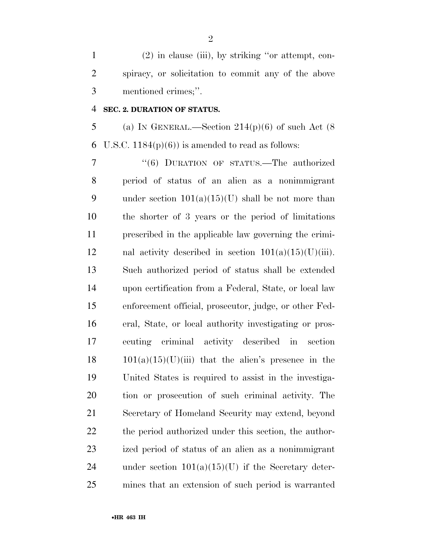(2) in clause (iii), by striking ''or attempt, con- spiracy, or solicitation to commit any of the above mentioned crimes;''.

#### **SEC. 2. DURATION OF STATUS.**

5 (a) IN GENERAL.—Section  $214(p)(6)$  of such Act  $(8)$ 6 U.S.C.  $1184(p)(6)$  is amended to read as follows:

7 "(6) DURATION OF STATUS.—The authorized period of status of an alien as a nonimmigrant 9 under section  $101(a)(15)(U)$  shall be not more than the shorter of 3 years or the period of limitations prescribed in the applicable law governing the crimi-12 nal activity described in section  $101(a)(15)(U)(iii)$ . Such authorized period of status shall be extended upon certification from a Federal, State, or local law enforcement official, prosecutor, judge, or other Fed- eral, State, or local authority investigating or pros- ecuting criminal activity described in section  $101(a)(15)(U)(iii)$  that the alien's presence in the United States is required to assist in the investiga- tion or prosecution of such criminal activity. The Secretary of Homeland Security may extend, beyond 22 the period authorized under this section, the author- ized period of status of an alien as a nonimmigrant 24 under section  $101(a)(15)(U)$  if the Secretary deter-mines that an extension of such period is warranted